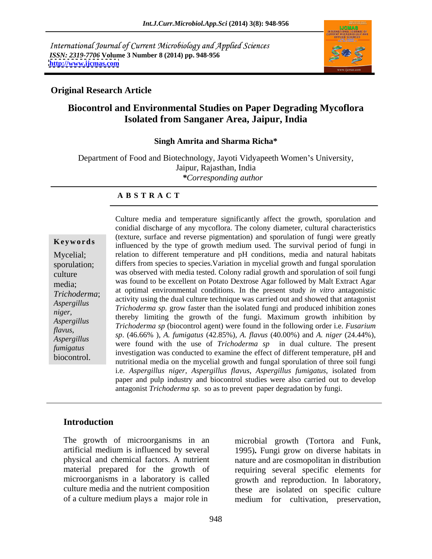International Journal of Current Microbiology and Applied Sciences *ISSN: 2319-7706* **Volume 3 Number 8 (2014) pp. 948-956 <http://www.ijcmas.com>**



### **Original Research Article**

# **Biocontrol and Environmental Studies on Paper Degrading Mycoflora Isolated from Sanganer Area, Jaipur, India**

### **Singh Amrita and Sharma Richa\***

Department of Food and Biotechnology, Jayoti Vidyapeeth Women's University, Jaipur, Rajasthan, India *\*Corresponding author* 

### **A B S T R A C T**

*flavus*,

**Keywords** influenced by the type of growth medium used. The survival period of fungi in Mycelial; relation to different temperature and pH conditions, media and natural habitats sporulation; differs from species to species.Variation in mycelial growth and fungal sporulation culture was observed with media tested. Colony radial growth and sporulation of soil fungi media; was found to be excellent on Potato Dextrose Agar followed by Malt Extract Agar *Trichoderma*; and optimal environmental conditions. In the present study in virol antagonistic activity using the dual culture technique was carried out and showed that antagonist *Aspergillus Trichoderma sp.* grow faster than the isolated fungi and produced inhibition zones *niger,*<br>
thereby limiting the growth of the fungi. Maximum growth inhibition by<br>
Agreed in the funging the funging that inhibition by *Aspergillus Trichoderma sp* (biocontrol agent) were found in the following order i.e. *Fusarium Aspergillus Sp.* (40.00%), A. Jamigatas (42.00%), A. Javas (40.00%) and A. hight (24.44%),<br>
were found with the use of *Trichoderma sp* in dual culture. The present *fumigatus*<br>investigation was conducted to examine the effect of different temperature, pH and biocontrol.<br>
nutritional media on the mycelial growth and fungal sporulation of three soil fungi Culture media and temperature significantly affect the growth, sporulation and conidial discharge of any mycoflora. The colony diameter, cultural characteristics (texture, surface and reverse pigmentation) and sporulation of fungi were greatly at optimal environmental conditions. In the present study *in vitro* antagonistic *sp*. (46.66% ), *A. fumigatus* (42.85%), *A. flavus* (40.00%) and *A. niger* (24.44%), i.e. *Aspergillus niger, Aspergillus flavus*, *Aspergillus fumigatus*, isolated from paper and pulp industry and biocontrol studies were also carried out to develop antagonist *Trichoderma sp.* so as to prevent paper degradation by fungi.

### **Introduction**

The growth of microorganisms in an microbial growth (Tortora and Funk, artificial medium is influenced by several 1995)**.** Fungi grow on diverse habitats in physical and chemical factors. A nutrient nature and are cosmopolitan in distribution material prepared for the growth of requiring several specific elements for microorganisms in a laboratory is called growth and reproduction. In laboratory, culture media and the nutrient composition these are isolated on specific culture

of a culture medium plays a major role in medium for cultivation, preservation,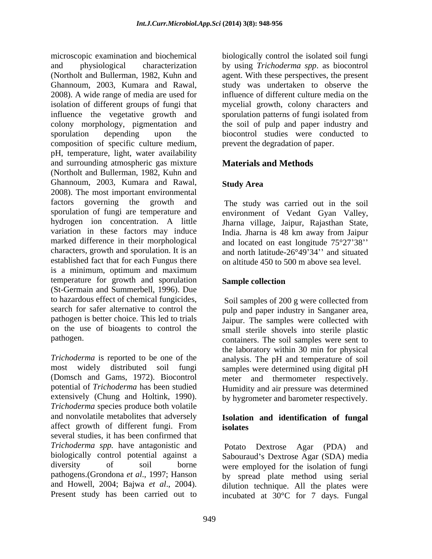microscopic examination and biochemical and physiological characterization by using *Trichoderma spp*. as biocontrol (Northolt and Bullerman, 1982, Kuhn and agent. With these perspectives, the present Ghannoum, 2003, Kumara and Rawal, study was undertaken to observe the 2008). A wide range of media are used for isolation of different groups of fungi that influence the vegetative growth and sporulation patterns of fungi isolated from colony morphology, pigmentation and the soil of pulp and paper industry and sporulation depending upon the biocontrol studies were conducted to composition of specific culture medium, pH, temperature, light, water availability and surrounding atmospheric gas mixture (Northolt and Bullerman, 1982, Kuhn and Ghannoum, 2003, Kumara and Rawal, 2008). The most important environmental factors governing the growth and The study was carried out in the soil sporulation of fungi are temperature and environment of Vedant Gyan Valley, hydrogen ion concentration. A little Jharna village, Jaipur, Rajasthan State, variation in these factors may induce India. Jharna is 48 km away from Jaipur marked difference in their morphological and located on east longitude  $75^{\circ}27'38''$ characters, growth and sporulation. It is an and north latitude- $26^{\circ}49^{\circ}34$ " and situated established fact that for each Fungus there is a minimum, optimum and maximum temperature for growth and sporulation Sample collection (St-Germain and Summerbell, 1996). Due to hazardous effect of chemical fungicides, search for safer alternative to control the pulp and paper industry in Sanganer area, pathogen is better choice. This led to trials Jaipur. The samples were collected with on the use of bioagents to control the small sterile shovels into sterile plastic

*Trichoderma* is reported to be one of the analysis. The pH and temperature of soil most widely distributed soil fungi samples were determined using digital pH (Domsch and Gams, 1972). Biocontrol meter and thermometer respectively. potential of *Trichoderma* has been studied Humidity and air pressure was determined extensively (Chung and Holtink, 1990). by hygrometer and barometer respectively. *Trichoderma* species produce both volatile and nonvolatile metabolites that adversely affect growth of different fungi. From several studies, it has been confirmed that *Trichoderma spp.* have antagonistic and biologically control potential against a diversity of soil borne were employed for the isolation of fungi pathogens.(Grondona *et al*., 1997; Hanson by spread plate method using serial and Howell, 2004; Bajwa *et al.*, 2004). dilution technique. All the plates were

biologically control the isolated soil fungi influence of different culture media on the mycelial growth, colony characters and sporulation patterns of fungi isolated from prevent the degradation of paper.

## **Materials and Methods**

## **Study Area**

on altitude 450 to 500 m above sea level.

## **Sample collection**

pathogen. containers. The soil samples were sent to Soil samples of 200 g were collected from the laboratory within 30 min for physical

### **Isolation and identification of fungal isolates**

Present study has been carried out to incubated at  $30^{\circ}$ C for 7 days. Fungal Potato Dextrose Agar (PDA) and Sabouraud's Dextrose Agar (SDA) media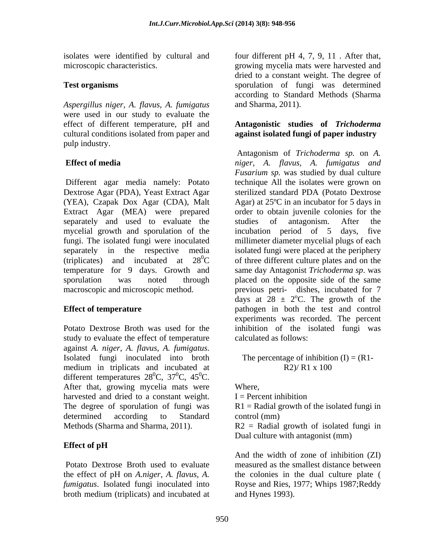*Aspergillus niger, A. flavus, A. fumigatus* were used in our study to evaluate the effect of different temperature, pH and **Antagonistic studies of** *Trichoderma*  cultural conditions isolated from paper and **against isolated fungi of paper industry** pulp industry.

Different agar media namely: Potato Dextrose Agar (PDA), Yeast Extract Agar separately and used to evaluate the studies of antagonism. After the mycelial growth and sporulation of the incubation period of 5 days, five

study to evaluate the effect of temperature against *A. niger, A. flavus, A. fumigatus*. Isolated fungi inoculated into broth medium in triplicats and incubated at  $R2/R1 \times 100$ different temperatures  $28^0C$ ,  $37^0C$ ,  $45^0C$ .  ${}^{0}C$ , 37<sup>0</sup>C, 45<sup>0</sup>C.  ${}^{0}C$ , 45<sup>0</sup>C.  ${}^{0}C.$ After that, growing mycelia mats were Where, harvested and dried to a constant weight.  $I =$  Percent inhibition The degree of sporulation of fungi was  $R1 =$  Radial growth of the isolated fungi in determined according to Standard control (mm)

## **Effect of pH**

the effect of pH on *A.niger, A. flavus, A.* broth medium (triplicats) and incubated at

isolates were identified by cultural and four different pH 4, 7, 9, 11 . After that, microscopic characteristics. growing mycelia mats were harvested and **Test organisms** sporulation of fungi was determined dried to a constant weight. The degree of according to Standard Methods (Sharma and Sharma, 2011).

**Effect of media** *niger, A. flavus, A. fumigatus and* (YEA), Czapak Dox Agar (CDA), Malt Agar) at 25ºC in an incubator for 5 days in Extract Agar (MEA) were prepared order to obtain juvenile colonies for the fungi. The isolated fungi were inoculated millimeter diameter mycelial plugs of each separately in the respective media isolated fungi were placed at the periphery (triplicates) and incubated at  $28^{\circ}\text{C}$  of three different culture plates and on the temperature for 9 days. Growth and same day Antagonist *Trichoderma sp*. was sporulation was noted through placed on the opposite side of the same macroscopic and microscopic method. previous petri- dishes, incubated for 7 **Effect of temperature Effect of temperature pathogen** in both the test and control Potato Dextrose Broth was used for the inhibition of the isolated fungi was Antagonism of *Trichoderma sp.* on *A. Fusarium sp.* was studied by dual culture technique All the isolates were grown on sterilized standard PDA (Potato Dextrose studies of antagonism. After the incubation period of 5 days, days at  $28 \pm 2$ °C. The growth of the <sup>o</sup>C. The growth of the experiments was recorded. The percent calculated as follows:

> The percentage of inhibition  $(I) = (R1 - I)$ R2)/ R1 x 100

Where,

 $I =$  Percent inhibition

control (mm)

Methods (Sharma and Sharma, 2011). R2 = Radial growth of isolated fungi in Dual culture with antagonist (mm)

Potato Dextrose Broth used to evaluate measured as the smallest distance between *fumigatus*. Isolated fungi inoculated into Royse and Ries, 1977; Whips 1987;Reddy And the width of zone of inhibition (ZI) the colonies in the dual culture plate ( and Hynes 1993).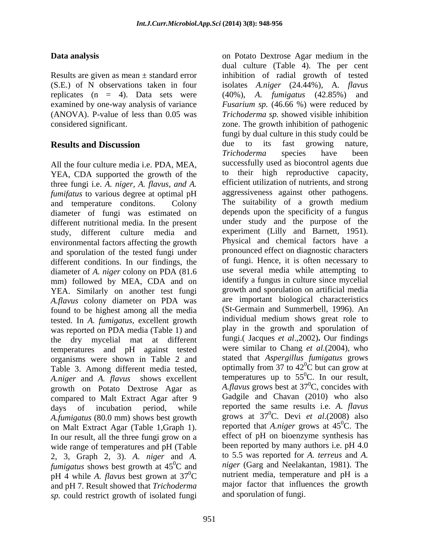## **Data analysis** on Potato Dextrose Agar medium in the

All the four culture media i.e. PDA, MEA, YEA, CDA supported the growth of the three fungi i.e. *A. niger, A. flavus, and A.* efficient utilization of nutrients, and strong<br>*fumifatus* to various degree at optimal pH aggressiveness against other pathogens. *fumifatus* to various degree at optimal pH and temperature conditons. Colony The suitability of a growth medium diameter of fungi was estimated on different nutritional media. In the present study, different culture media and environmental factors affecting the growth and sporulation of the tested fungi under different conditions. In our findings, the diameter of *A. niger* colony on PDA (81.6 mm) followed by MEA, CDA and on YEA. Similarly on another test fungi *A.flavus* colony diameter on PDA was found to be highest among all the media tested. In *A. fumigatus,* excellent growth was reported on PDA media (Table 1) and the dry mycelial mat at different temperatures and pH against tested organisms were shown in Table 2 and Table 3. Among different media tested, *A.niger* and *A. flavus* shows excellent growth on Potato Dextrose Agar as compared to Malt Extract Agar after 9 *A.fumigatus* (80.0 mm) shows best growth on Malt Extract Agar (Table 1,Graph 1). In our result, all the three fungi grow on a wide range of temperatures and pH (Table 2, 3, Graph 2, 3). *A. niger* and *A. fumigatus* shows best growth at 45<sup>0</sup>C and pH 4 while *A. flavus* best grown at  $37^{\circ}$ C and pH 7. Result showed that *Trichoderma sp.* could restrict growth of isolated fungi

Results are given as mean ± standard error inhibition of radial growth of tested (S.E.) of N observations taken in four isolates *A.niger* (24.44%), A*. flavus*  replicates (n = 4). Data sets were (40%), *A. fumigatus* (42.85%) and examined by one-way analysis of variance *Fusarium sp.* (46.66 %) were reduced by (ANOVA). P-value of less than 0.05 was *Trichoderma sp.* showed visible inhibition considered significant. zone. The growth inhibition of pathogenic **Results and Discussion due** to its fast growing nature, days of incubation period, while reported the same results i.e. *A. flavus* 0C and *niger* (Garg and Neelakantan, 1981). The  ${}^{0}C$  nutrient media, temperature and pH is a dual culture (Table 4). The per cent fungi by dual culture in this study could be due to its fast growing nature, *Trichoderma* species have been successfully used as biocontrol agents due to their high reproductive capacity, efficient utilization of nutrients, and strong aggressiveness against other pathogens. The suitability of <sup>a</sup> growth medium depends upon the specificity of a fungus under study and the purpose of the experiment (Lilly and Barnett, 1951). Physical and chemical factors have a pronounced effect on diagnostic characters of fungi. Hence, it is often necessary to use several media while attempting to identify a fungus in culture since mycelial growth and sporulation on artificial media are important biological characteristics (St-Germain and Summerbell, 1996). An individual medium shows great role to play in the growth and sporulation of fungi.( Jacques *et al*.,2002)**.** Our findings were similar to Chang *et al.*(2004), who stated that *Aspergillus fumigatus* grows optimally from 37 to  $42^{\circ}$ C but can grow at  ${}^{0}C$  but can grow at temperatures up to  $55^{\circ}$ C. In our result, *A.flavus* grows best at 37  ${}^{0}C$ , concides with Gadgile and Chavan (2010) who also grows at 37 0C. Devi *et al*.(2008) also reported that *A.niger* grows at 45  ${}^{0}C.$  The effect of pH on bioenzyme synthesis has been reported by many authors i.e. pH 4.0 to 5.5 was reported for *A. terreus* and *A.*  major factor that influences the growth and sporulation of fungi.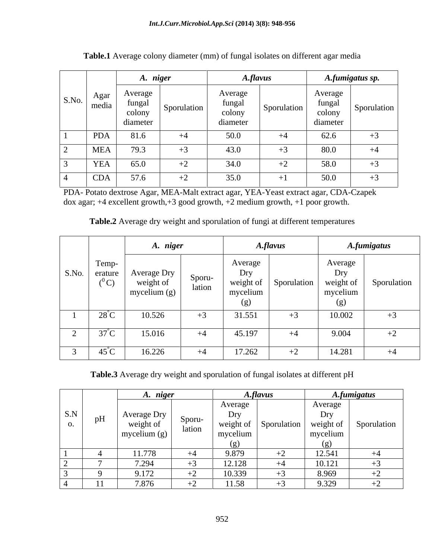|       |               | A. niger                                |             |                                         | A.flavus    |                                         | A.fumigatus sp.                 |
|-------|---------------|-----------------------------------------|-------------|-----------------------------------------|-------------|-----------------------------------------|---------------------------------|
| S.No. | Agar<br>media | Average<br>fungal<br>colony<br>diameter | Sporulation | Average<br>fungal<br>colony<br>diameter | Sporulation | Average<br>fungal<br>colony<br>diameter | Sporulation                     |
|       | <b>PDA</b>    | 81.6                                    | $+4$        | 50.0                                    | $+4$        | 62.6                                    |                                 |
|       | <b>MEA</b>    | 79.3                                    |             | 43.0                                    |             | 80.0                                    | $+4$                            |
|       | YEA           | 65.0                                    | ⊤∠          | 34.0                                    | └           | 58.0                                    | $+$                             |
|       | <b>CDA</b>    | 57.6                                    | ⊤∠          | 35.0                                    |             | 50.0                                    | $\overline{\phantom{0}}$<br>ر ا |

**Table.1** Average colony diameter (mm) of fungal isolates on different agar media

PDA- Potato dextrose Agar, MEA-Malt extract agar, YEA-Yeast extract agar, CDA-Czapek dox agar; +4 excellent growth,+3 good growth, +2 medium growth, +1 poor growth.

|  |  | Table.2 Average dry weight and sporulation of fungi at different temperatures |
|--|--|-------------------------------------------------------------------------------|
|--|--|-------------------------------------------------------------------------------|

|       |                             | A. niger                                 |                  |                                                | <b>A.flavus</b> |                                                | <b>A.fumigatus</b> |  |
|-------|-----------------------------|------------------------------------------|------------------|------------------------------------------------|-----------------|------------------------------------------------|--------------------|--|
| S.No. | Temp-<br>erature<br>$(^0C)$ | Average Dry<br>weight of<br>mycelium (g) | Sporu-<br>lation | Average<br>Dry<br>weight of<br>mycelium<br>(g) | Sporulation     | Average<br>Dry<br>weight of<br>mycelium<br>(g) | Sporulation        |  |
|       | $28^{\circ}$ C              | 10.526                                   | $+3$             | 31.551                                         | $+3$            | 10.002                                         | $+3$               |  |
|       | $37^{\circ}$ C              | 15.016                                   | $+4$             | 45.197                                         | $+4$            | 9.004                                          | $+2$               |  |
|       | $45^{\circ}$ C              | 16.226                                   | $+4$             | 17.262                                         | $+2$            | 14.281                                         | $+4$               |  |

**Table.3** Average dry weight and sporulation of fungal isolates at different pH

|     |    | A. niger                 |        |                  | A.flavus                 |                  | A.fumigatus |
|-----|----|--------------------------|--------|------------------|--------------------------|------------------|-------------|
|     |    |                          |        | Average          |                          | Average          |             |
| S.N | pH | Average Dry<br>weight of | Sporu- | Dry<br>weight of | Sporulation              | Dry<br>weight of | Sporulation |
| v.  |    | mycelium $(g)$           | lation | mycelium         |                          | mycelium         |             |
|     |    |                          |        | ( ջ )            |                          | ( ၇၂             |             |
|     |    | 11.770<br>11.778         |        | 9.879            | $\overline{\phantom{0}}$ | 12.541           | $+4$        |
|     |    | 7.294                    |        | 12.128           | $+4$                     | 10.121           |             |
|     |    | $Q_{17}$<br>7.112        |        | 10.339           | $+2$                     | 8.969            |             |
|     |    | 7.876                    |        | 1.58             | ∸ ∸                      | 9.329            | ╺           |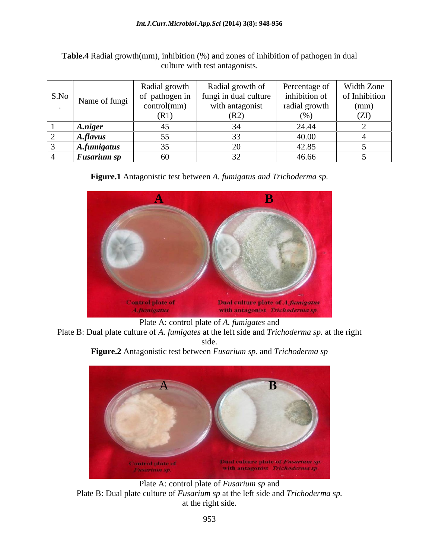|      |                 | Radial growth  | Radial growth of      | Percentage of | Width Zone    |
|------|-----------------|----------------|-----------------------|---------------|---------------|
| S.No | Name of fungi   | of pathogen in | fungi in dual culture | inhibition of | of Inhibition |
|      |                 | control(mm)    | with antagonist       | radial growth | (mm)          |
|      |                 | (R1)           | (R2)                  | (%            | (ZI)          |
|      | A.niger         |                |                       | 24.44         |               |
|      | <b>A.flavus</b> |                |                       | 40.00         |               |
|      | A.fumigatus     |                |                       | 42.85         |               |
|      | Fusarium sp     | UU.            |                       | 46.66         |               |

**Table.4** Radial growth(mm), inhibition (%) and zones of inhibition of pathogen in dual culture with test antagonists.

**Figure.1** Antagonistic test between *A. fumigatus and Trichoderma sp.*



Plate A: control plate of *A. fumigates* and

Plate B: Dual plate culture of *A. fumigates* at the left side and *Trichoderma sp.* at the right side.





Plate A: control plate of *Fusarium sp* and Plate B: Dual plate culture of *Fusarium sp* at the left side and *Trichoderma sp.* at the right side.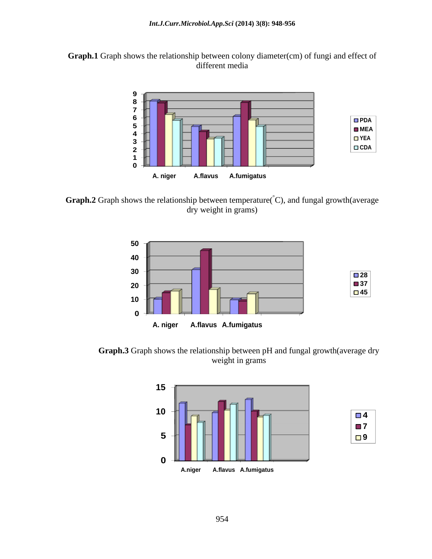



**Graph.2** Graph shows the relationship between temperature(°C), and fungal growth(average dry weight in grams)



**Graph.3** Graph shows the relationship between pH and fungal growth(average dry weight in grams

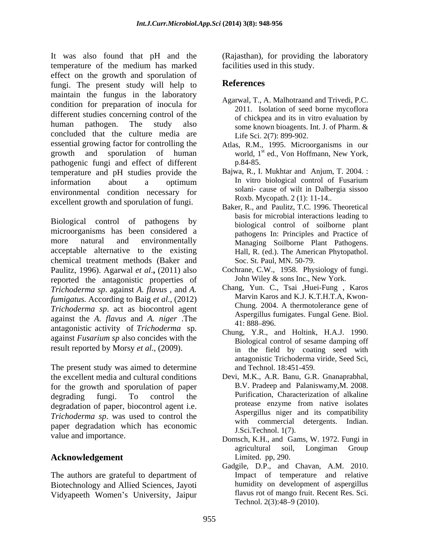It was also found that pH and the (Rajasthan), for providing the laboratory temperature of the medium has marked effect on the growth and sporulation of<br>funcional The present study will belp to **References** fungi. The present study will help to maintain the fungus in the laboratory condition for preparation of inocula for different studies concerning control of the human pathogen. The study also some known bioagents. Int. J. of Pharm. & concluded that the culture media are essential growing factor for controlling the Atlas, R.M., 1995. Microorganisms in our growth and sporulation of human world, 1<sup>st</sup> ed., Von-Hoffmann, New-York, pathogenic fungi and effect of different temperature and pH studies provide the information about a optimum environmental condition necessary for excellent growth and sporulation of fungi.

Biological control of pathogens by microorganisms has been considered a more natural and environmentally Managing Soilborne Plant Pathogens. acceptable alternative to the existing chemical treatment methods (Baker and Paulitz, 1996). Agarwal *et al*.**,** (2011) also reported the antagonistic properties of *Trichoderma sp*. against *A. flavus* , and *A. fumigatus.* According to Baig *et al*., (2012) *Trichoderma sp*. act as biocontrol agent against the *A. flavus* and *A. niger* .The antagonistic activity of *Trichoderma* sp. against *Fusarium sp* also concides with the result reported by Morsy *et al.,* (2009).

The present study was aimed to determine the excellent media and cultural conditions Devi, M.K., A.R. Banu, G.R. Gnanaprabhal, for the growth and sporulation of paper degrading fungi. To control the Purification, Characterization of alkaline degradation of paper, biocontrol agent i.e. *Trichoderma sp*. was used to control the paper degradation which has economic

## **Acknowledgement**

The authors are grateful to department of Biotechnology and Allied Sciences, Jayoti facilities used in this study.

### **References**

- Agarwal, T., A. Malhotraand and Trivedi, P.C. 2011. Isolation of seed borne mycoflora of chickpea and its in vitro evaluation by Life Sci. 2(7): 899-902.
- st ed., Von Hoffmann, New York, p.84-85.
- Bajwa, R., I. Mukhtar and Anjum, T. 2004. : In vitro biological control of Fusarium solani- cause of wilt in Dalbergia sissoo Roxb. Mycopath. 2 (1): 11-14..
- Baker, R., and Paulitz, T.C. 1996. Theoretical basis for microbial interactions leading to biological control of soilborne plant pathogens In: Principles and Practice of Hall, R. (ed.). The American Phytopathol. Soc. St. Paul, MN. 50-79.
- Cochrane, C.W., 1958. Physiology of fungi. John Wiley & sons Inc., New York.
- Chang, Yun. C., Tsai ,Huei-Fung , Karos Marvin Karos and K.J. K.T.H.T.A, Kwon- Chung. 2004. A thermotolerance gene of Aspergillus fumigates. Fungal Gene. Biol. 41: 888–896.
- Chung, Y.R., and Holtink, H.A.J. 1990. Biological control of sesame damping off in the field by coating seed with antagonistic Trichoderma viride, Seed Sci, and Technol. 18:451-459.
- B.V. Pradeep and Palaniswamy,M. 2008. Purification, Characterization of alkaline protease enzyme from native isolates Aspergillus niger and its compatibility with commercial detergents. Indian. J.Sci.Technol. 1(7).
- value and importance.<br>
Domsch, K.H., and Gams, W. 1972. Fungi in agricultural soil, Longiman Group Limited. pp, 290.
- Vidyapeeth Women's University, Jaipur flavus rot of mango fruit. R<br>Technol. 2(3):48–9 (2010). Gadgile, D.P., and Chavan, A.M. 2010. Impact of temperature and relative humidity on development of aspergillus flavus rot of mango fruit. Recent Res. Sci. Technol.  $2(3):48-9(2010)$ .